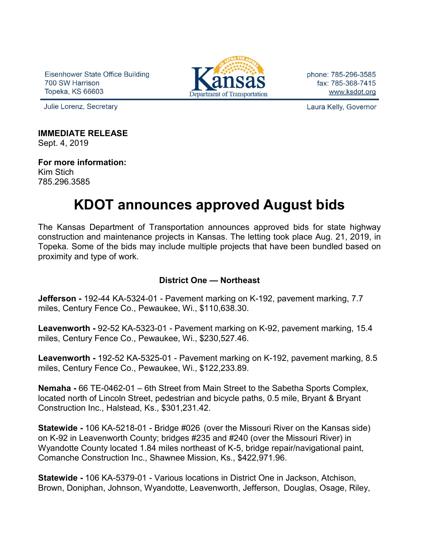Eisenhower State Office Building 700 SW Harrison Topeka, KS 66603



phone: 785-296-3585 fax: 785-368-7415 www.ksdot.org

Julie Lorenz, Secretary

Laura Kelly, Governor

**IMMEDIATE RELEASE**

Sept. 4, 2019

**For more information:** Kim Stich 785.296.3585

# **KDOT announces approved August bids**

The Kansas Department of Transportation announces approved bids for state highway construction and maintenance projects in Kansas. The letting took place Aug. 21, 2019, in Topeka. Some of the bids may include multiple projects that have been bundled based on proximity and type of work.

## **District One — Northeast**

**Jefferson -** 192-44 KA-5324-01 - Pavement marking on K-192, pavement marking, 7.7 miles, Century Fence Co., Pewaukee, Wi., \$110,638.30.

**Leavenworth -** 92-52 KA-5323-01 - Pavement marking on K-92, pavement marking, 15.4 miles, Century Fence Co., Pewaukee, Wi., \$230,527.46.

**Leavenworth -** 192-52 KA-5325-01 - Pavement marking on K-192, pavement marking, 8.5 miles, Century Fence Co., Pewaukee, Wi., \$122,233.89.

**Nemaha -** 66 TE-0462-01 – 6th Street from Main Street to the Sabetha Sports Complex, located north of Lincoln Street, pedestrian and bicycle paths, 0.5 mile, Bryant & Bryant Construction Inc., Halstead, Ks., \$301,231.42.

**Statewide -** 106 KA-5218-01 - Bridge #026 (over the Missouri River on the Kansas side) on K-92 in Leavenworth County; bridges #235 and #240 (over the Missouri River) in Wyandotte County located 1.84 miles northeast of K-5, bridge repair/navigational paint, Comanche Construction Inc., Shawnee Mission, Ks., \$422,971.96.

**Statewide -** 106 KA-5379-01 - Various locations in District One in Jackson, Atchison, Brown, Doniphan, Johnson, Wyandotte, Leavenworth, Jefferson, Douglas, Osage, Riley,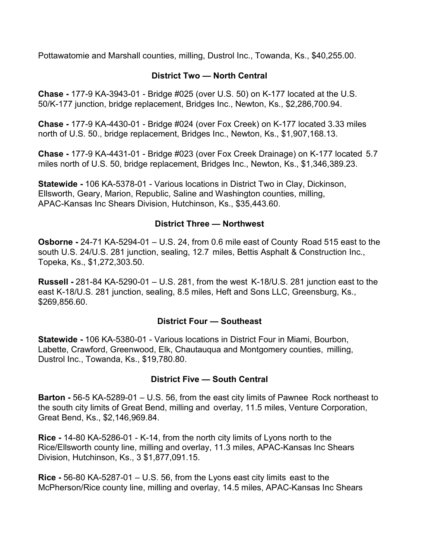Pottawatomie and Marshall counties, milling, Dustrol Inc., Towanda, Ks., \$40,255.00.

## **District Two — North Central**

**Chase -** 177-9 KA-3943-01 - Bridge #025 (over U.S. 50) on K-177 located at the U.S. 50/K-177 junction, bridge replacement, Bridges Inc., Newton, Ks., \$2,286,700.94.

**Chase -** 177-9 KA-4430-01 - Bridge #024 (over Fox Creek) on K-177 located 3.33 miles north of U.S. 50., bridge replacement, Bridges Inc., Newton, Ks., \$1,907,168.13.

**Chase -** 177-9 KA-4431-01 - Bridge #023 (over Fox Creek Drainage) on K-177 located 5.7 miles north of U.S. 50, bridge replacement, Bridges Inc., Newton, Ks., \$1,346,389.23.

**Statewide -** 106 KA-5378-01 - Various locations in District Two in Clay, Dickinson, Ellsworth, Geary, Marion, Republic, Saline and Washington counties, milling, APAC-Kansas Inc Shears Division, Hutchinson, Ks., \$35,443.60.

### **District Three — Northwest**

**Osborne -** 24-71 KA-5294-01 – U.S. 24, from 0.6 mile east of County Road 515 east to the south U.S. 24/U.S. 281 junction, sealing, 12.7 miles, Bettis Asphalt & Construction Inc., Topeka, Ks., \$1,272,303.50.

**Russell -** 281-84 KA-5290-01 – U.S. 281, from the west K-18/U.S. 281 junction east to the east K-18/U.S. 281 junction, sealing, 8.5 miles, Heft and Sons LLC, Greensburg, Ks., \$269,856.60.

#### **District Four — Southeast**

**Statewide -** 106 KA-5380-01 - Various locations in District Four in Miami, Bourbon, Labette, Crawford, Greenwood, Elk, Chautauqua and Montgomery counties, milling, Dustrol Inc., Towanda, Ks., \$19,780.80.

#### **District Five — South Central**

**Barton -** 56-5 KA-5289-01 – U.S. 56, from the east city limits of Pawnee Rock northeast to the south city limits of Great Bend, milling and overlay, 11.5 miles, Venture Corporation, Great Bend, Ks., \$2,146,969.84.

**Rice -** 14-80 KA-5286-01 - K-14, from the north city limits of Lyons north to the Rice/Ellsworth county line, milling and overlay, 11.3 miles, APAC-Kansas Inc Shears Division, Hutchinson, Ks., 3 \$1,877,091.15.

**Rice -** 56-80 KA-5287-01 – U.S. 56, from the Lyons east city limits east to the McPherson/Rice county line, milling and overlay, 14.5 miles, APAC-Kansas Inc Shears